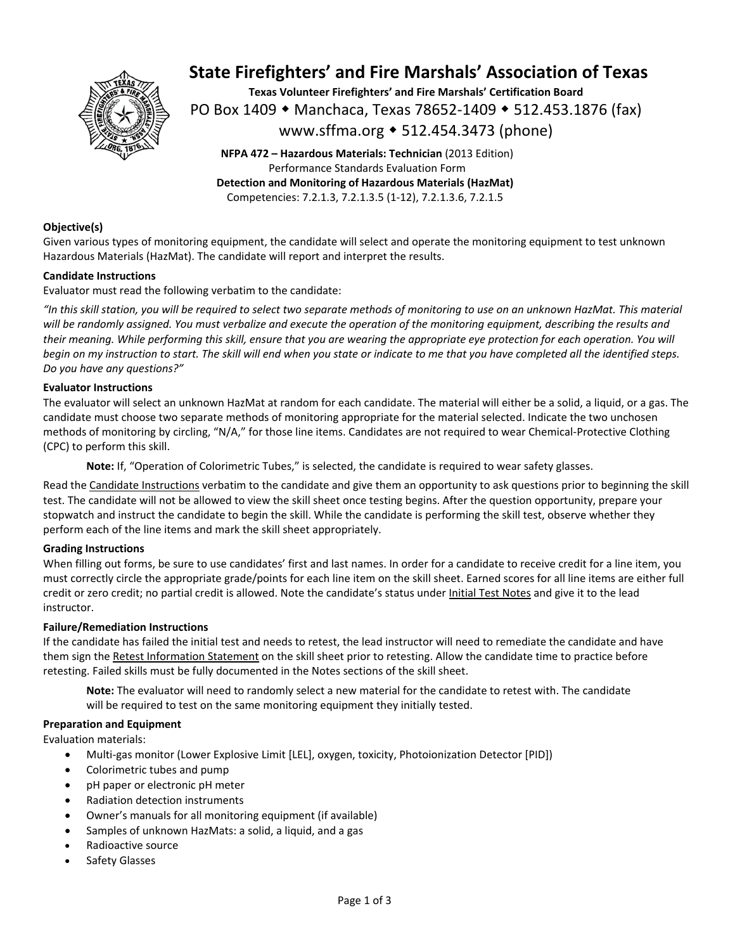

# **State Firefighters' and Fire Marshals' Association of Texas**

**Texas Volunteer Firefighters' and Fire Marshals' Certification Board**  PO Box 1409 ◆ Manchaca, Texas 78652-1409 ◆ 512.453.1876 (fax) www.sffma.org 512.454.3473 (phone)

**NFPA 472 – Hazardous Materials: Technician** (2013 Edition) Performance Standards Evaluation Form **Detection and Monitoring of Hazardous Materials (HazMat)**  Competencies: 7.2.1.3, 7.2.1.3.5 (1‐12), 7.2.1.3.6, 7.2.1.5

### **Objective(s)**

Given various types of monitoring equipment, the candidate will select and operate the monitoring equipment to test unknown Hazardous Materials (HazMat). The candidate will report and interpret the results.

### **Candidate Instructions**

Evaluator must read the following verbatim to the candidate:

*"In this skill station, you will be required to select two separate methods of monitoring to use on an unknown HazMat. This material will be randomly assigned. You must verbalize and execute the operation of the monitoring equipment, describing the results and their meaning. While performing this skill, ensure that you are wearing the appropriate eye protection for each operation. You will begin on my instruction to start. The skill will end when you state or indicate to me that you have completed all the identified steps. Do you have any questions?"* 

#### **Evaluator Instructions**

The evaluator will select an unknown HazMat at random for each candidate. The material will either be a solid, a liquid, or a gas. The candidate must choose two separate methods of monitoring appropriate for the material selected. Indicate the two unchosen methods of monitoring by circling, "N/A," for those line items. Candidates are not required to wear Chemical‐Protective Clothing (CPC) to perform this skill.

**Note:** If, "Operation of Colorimetric Tubes," is selected, the candidate is required to wear safety glasses.

Read the Candidate Instructions verbatim to the candidate and give them an opportunity to ask questions prior to beginning the skill test. The candidate will not be allowed to view the skill sheet once testing begins. After the question opportunity, prepare your stopwatch and instruct the candidate to begin the skill. While the candidate is performing the skill test, observe whether they perform each of the line items and mark the skill sheet appropriately.

#### **Grading Instructions**

When filling out forms, be sure to use candidates' first and last names. In order for a candidate to receive credit for a line item, you must correctly circle the appropriate grade/points for each line item on the skill sheet. Earned scores for all line items are either full credit or zero credit; no partial credit is allowed. Note the candidate's status under Initial Test Notes and give it to the lead instructor.

### **Failure/Remediation Instructions**

If the candidate has failed the initial test and needs to retest, the lead instructor will need to remediate the candidate and have them sign the Retest Information Statement on the skill sheet prior to retesting. Allow the candidate time to practice before retesting. Failed skills must be fully documented in the Notes sections of the skill sheet.

**Note:** The evaluator will need to randomly select a new material for the candidate to retest with. The candidate will be required to test on the same monitoring equipment they initially tested.

#### **Preparation and Equipment**

Evaluation materials:

- Multi‐gas monitor (Lower Explosive Limit [LEL], oxygen, toxicity, Photoionization Detector [PID])
- Colorimetric tubes and pump
- pH paper or electronic pH meter
- Radiation detection instruments
- Owner's manuals for all monitoring equipment (if available)
- Samples of unknown HazMats: a solid, a liquid, and a gas
- Radioactive source
- Safety Glasses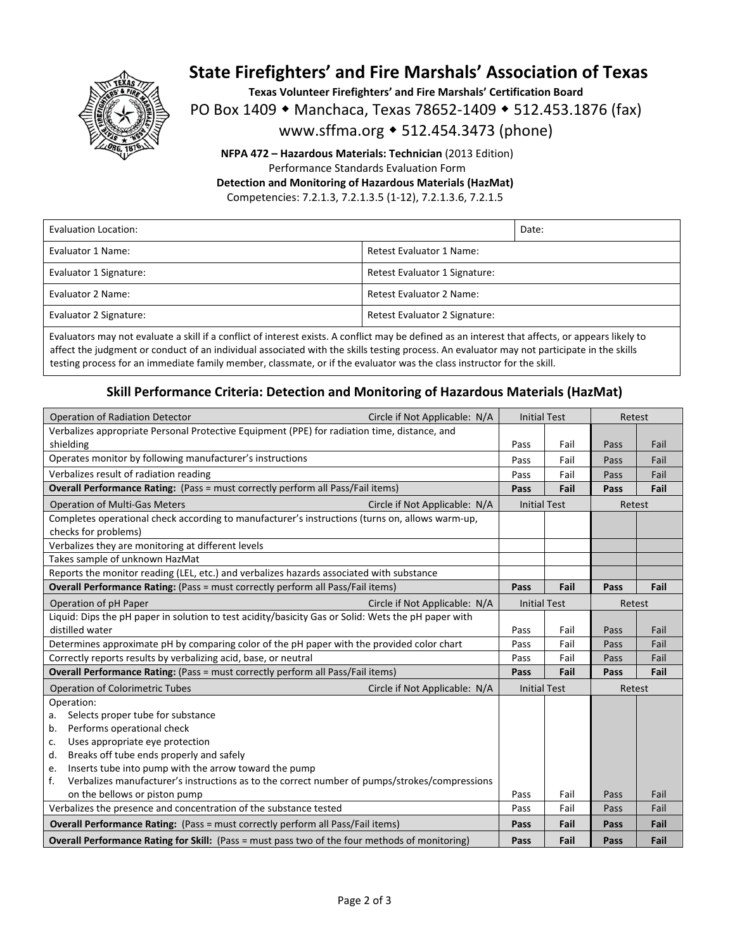

# **State Firefighters' and Fire Marshals' Association of Texas**

**Texas Volunteer Firefighters' and Fire Marshals' Certification Board** 

PO Box 1409 • Manchaca, Texas 78652-1409 • 512.453.1876 (fax)

www.sffma.org 512.454.3473 (phone)

**NFPA 472 – Hazardous Materials: Technician** (2013 Edition) Performance Standards Evaluation Form **Detection and Monitoring of Hazardous Materials (HazMat)** 

Competencies: 7.2.1.3, 7.2.1.3.5 (1‐12), 7.2.1.3.6, 7.2.1.5

| Evaluation Location:   |                                 | Date: |  |
|------------------------|---------------------------------|-------|--|
| Evaluator 1 Name:      | Retest Evaluator 1 Name:        |       |  |
| Evaluator 1 Signature: | Retest Evaluator 1 Signature:   |       |  |
| Evaluator 2 Name:      | <b>Retest Evaluator 2 Name:</b> |       |  |
| Evaluator 2 Signature: | Retest Evaluator 2 Signature:   |       |  |

Evaluators may not evaluate a skill if a conflict of interest exists. A conflict may be defined as an interest that affects, or appears likely to affect the judgment or conduct of an individual associated with the skills testing process. An evaluator may not participate in the skills testing process for an immediate family member, classmate, or if the evaluator was the class instructor for the skill.

### **Skill Performance Criteria: Detection and Monitoring of Hazardous Materials (HazMat)**

| <b>Operation of Radiation Detector</b>                                                                | Circle if Not Applicable: N/A | <b>Initial Test</b> |      | Retest |      |
|-------------------------------------------------------------------------------------------------------|-------------------------------|---------------------|------|--------|------|
| Verbalizes appropriate Personal Protective Equipment (PPE) for radiation time, distance, and          |                               |                     |      |        |      |
| shielding                                                                                             |                               | Pass                | Fail | Pass   | Fail |
| Operates monitor by following manufacturer's instructions                                             |                               | Pass                | Fail | Pass   | Fail |
| Verbalizes result of radiation reading                                                                |                               | Pass                | Fail | Pass   | Fail |
| Overall Performance Rating: (Pass = must correctly perform all Pass/Fail items)                       |                               | Pass                | Fail | Pass   | Fail |
| <b>Operation of Multi-Gas Meters</b><br>Circle if Not Applicable: N/A                                 |                               | <b>Initial Test</b> |      | Retest |      |
| Completes operational check according to manufacturer's instructions (turns on, allows warm-up,       |                               |                     |      |        |      |
| checks for problems)                                                                                  |                               |                     |      |        |      |
| Verbalizes they are monitoring at different levels                                                    |                               |                     |      |        |      |
| Takes sample of unknown HazMat                                                                        |                               |                     |      |        |      |
| Reports the monitor reading (LEL, etc.) and verbalizes hazards associated with substance              |                               |                     |      |        |      |
| Overall Performance Rating: (Pass = must correctly perform all Pass/Fail items)                       |                               | Pass                | Fail | Pass   | Fail |
| Operation of pH Paper<br>Circle if Not Applicable: N/A                                                |                               | <b>Initial Test</b> |      | Retest |      |
| Liquid: Dips the pH paper in solution to test acidity/basicity Gas or Solid: Wets the pH paper with   |                               |                     |      |        |      |
| distilled water                                                                                       |                               | Pass                | Fail | Pass   | Fail |
| Determines approximate pH by comparing color of the pH paper with the provided color chart            |                               | Pass                | Fail | Pass   | Fail |
| Correctly reports results by verbalizing acid, base, or neutral                                       |                               | Pass                | Fail | Pass   | Fail |
| <b>Overall Performance Rating:</b> (Pass = must correctly perform all Pass/Fail items)                |                               | Pass                | Fail | Pass   | Fail |
| <b>Operation of Colorimetric Tubes</b>                                                                | Circle if Not Applicable: N/A | <b>Initial Test</b> |      | Retest |      |
| Operation:                                                                                            |                               |                     |      |        |      |
| Selects proper tube for substance<br>a.                                                               |                               |                     |      |        |      |
| Performs operational check<br>b.                                                                      |                               |                     |      |        |      |
| Uses appropriate eye protection<br>c.                                                                 |                               |                     |      |        |      |
| Breaks off tube ends properly and safely<br>d.                                                        |                               |                     |      |        |      |
| Inserts tube into pump with the arrow toward the pump<br>e.                                           |                               |                     |      |        |      |
| Verbalizes manufacturer's instructions as to the correct number of pumps/strokes/compressions<br>f.   |                               |                     |      |        |      |
| on the bellows or piston pump                                                                         |                               | Pass                | Fail | Pass   | Fail |
| Verbalizes the presence and concentration of the substance tested                                     |                               | Pass                | Fail | Pass   | Fail |
| Overall Performance Rating: (Pass = must correctly perform all Pass/Fail items)                       |                               | Pass                | Fail | Pass   | Fail |
| <b>Overall Performance Rating for Skill:</b> (Pass = must pass two of the four methods of monitoring) |                               | Pass                | Fail | Pass   | Fail |